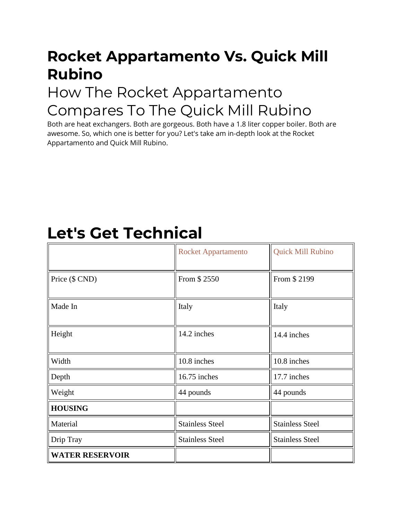# **Rocket Appartamento Vs. Quick Mill Rubino**

#### How The Rocket Appartamento Compares To The Quick Mill Rubino

Both are heat exchangers. Both are gorgeous. Both have a 1.8 liter copper boiler. Both are awesome. So, which one is better for you? Let's take am in-depth look at the Rocket Appartamento and Quick Mill Rubino.

# **Let's Get Technical**

|                        | <b>Rocket Appartamento</b> | <b>Quick Mill Rubino</b> |
|------------------------|----------------------------|--------------------------|
| Price (\$ CND)         | From \$2550                | From \$2199              |
| Made In                | Italy                      | Italy                    |
| Height                 | 14.2 inches                | 14.4 inches              |
| Width                  | 10.8 inches                | 10.8 inches              |
| Depth                  | 16.75 inches               | 17.7 inches              |
| Weight                 | 44 pounds                  | 44 pounds                |
| <b>HOUSING</b>         |                            |                          |
| Material               | <b>Stainless Steel</b>     | <b>Stainless Steel</b>   |
| Drip Tray              | <b>Stainless Steel</b>     | <b>Stainless Steel</b>   |
| <b>WATER RESERVOIR</b> |                            |                          |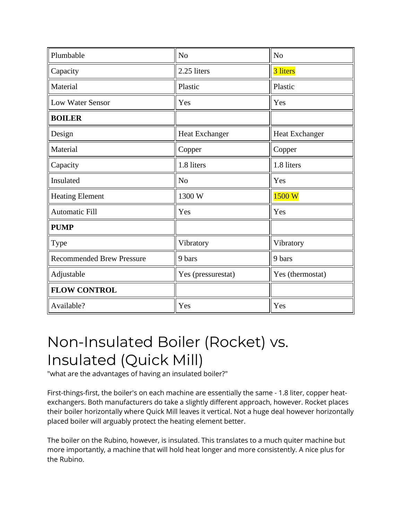| Plumbable                        | N <sub>o</sub>        | N <sub>o</sub>   |
|----------------------------------|-----------------------|------------------|
| Capacity                         | 2.25 liters           | 3 liters         |
| Material                         | Plastic               | Plastic          |
| <b>Low Water Sensor</b>          | Yes                   | Yes              |
| <b>BOILER</b>                    |                       |                  |
| Design                           | <b>Heat Exchanger</b> | Heat Exchanger   |
| Material                         | Copper                | Copper           |
| Capacity                         | 1.8 liters            | 1.8 liters       |
| Insulated                        | N <sub>o</sub>        | Yes              |
| <b>Heating Element</b>           | 1300 W                | 1500 W           |
| <b>Automatic Fill</b>            | Yes                   | Yes              |
| <b>PUMP</b>                      |                       |                  |
| Type                             | Vibratory             | Vibratory        |
| <b>Recommended Brew Pressure</b> | 9 bars                | 9 bars           |
| Adjustable                       | Yes (pressurestat)    | Yes (thermostat) |
| <b>FLOW CONTROL</b>              |                       |                  |
| Available?                       | Yes                   | Yes              |

### Non-Insulated Boiler (Rocket) vs. Insulated (Quick Mill)

"what are the advantages of having an insulated boiler?"

First-things-first, the boiler's on each machine are essentially the same - 1.8 liter, copper heatexchangers. Both manufacturers do take a slightly different approach, however. Rocket places their boiler horizontally where Quick Mill leaves it vertical. Not a huge deal however horizontally placed boiler will arguably protect the heating element better.

The boiler on the Rubino, however, is insulated. This translates to a much quiter machine but more importantly, a machine that will hold heat longer and more consistently. A nice plus for the Rubino.